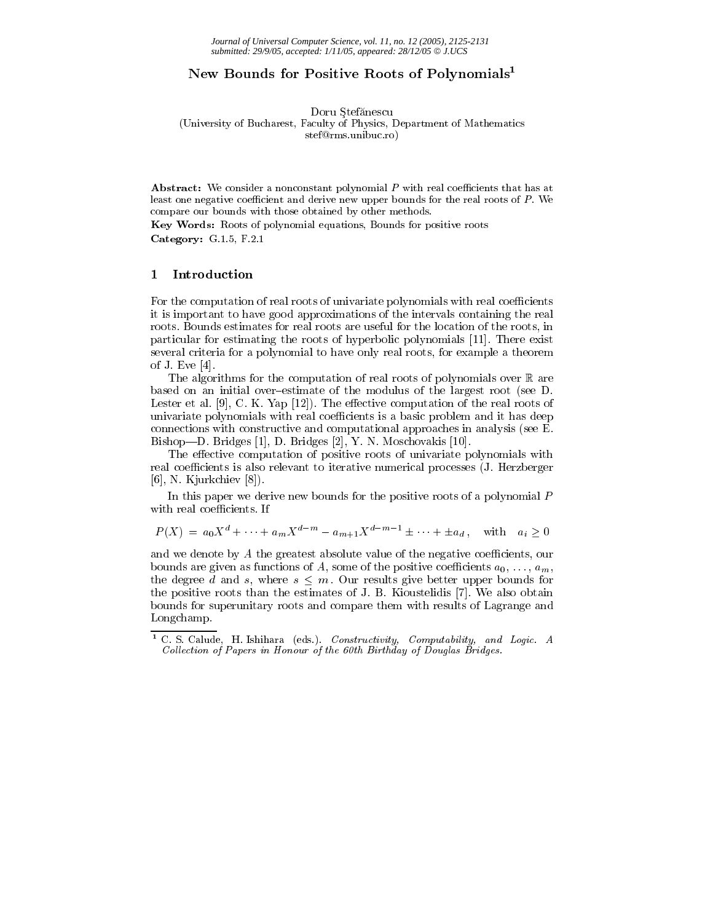# New Bounds for Positive Roots of Polynomials<sup>1</sup>

Doru Stefănescu

(University of Bucharest, Faculty of Physics, Department of Mathematics stef@rms.unibuc.ro)

**Abstract:** We consider a nonconstant polynomial P with real coefficients that has at least one negative coefficient and derive new upper bounds for the real roots of P. We compare our bounds with those obtained by other methods.

Key Words: Roots of polynomial equations, Bounds for positive roots Category:  $G.1.5$ ,  $F.2.1$ 

#### $\mathbf{1}$ Introduction

For the computation of real roots of univariate polynomials with real coefficients it is important to have good approximations of the intervals containing the real roots. Bounds estimates for real roots are useful for the location of the roots, in particular for estimating the roots of hyperbolic polynomials [11]. There exist several criteria for a polynomial to have only real roots, for example a theorem of J. Eve  $[4]$ .

The algorithms for the computation of real roots of polynomials over  $\mathbb R$  are based on an initial over-estimate of the modulus of the largest root (see D. Lester et al.  $[9]$ , C. K. Yap  $[12]$ ). The effective computation of the real roots of univariate polynomials with real coefficients is a basic problem and it has deep connections with constructive and computational approaches in analysis (see E. Bishop—D. Bridges [1], D. Bridges [2], Y. N. Moschovakis [10].

The effective computation of positive roots of univariate polynomials with real coefficients is also relevant to iterative numerical processes (J. Herzberger  $[6]$ , N. Kjurkchiev  $[8]$ ).

In this paper we derive new bounds for the positive roots of a polynomial P with real coefficients. If

$$
P(X) = a_0 X^d + \dots + a_m X^{d-m} - a_{m+1} X^{d-m-1} \pm \dots + \pm a_d, \text{ with } a_i \ge 0
$$

and we denote by A the greatest absolute value of the negative coefficients, our bounds are given as functions of A, some of the positive coefficients  $a_0, \ldots, a_m$ , the degree d and s, where  $s \leq m$ . Our results give better upper bounds for the positive roots than the estimates of J. B. Kioustelidis [7]. We also obtain bounds for superunitary roots and compare them with results of Lagrange and Longchamp.

C. S. Calude, H. Ishihara (eds.). Constructivity, Computability, and Logic. A Collection of Papers in Honour of the 60th Birthday of Douglas Bridges.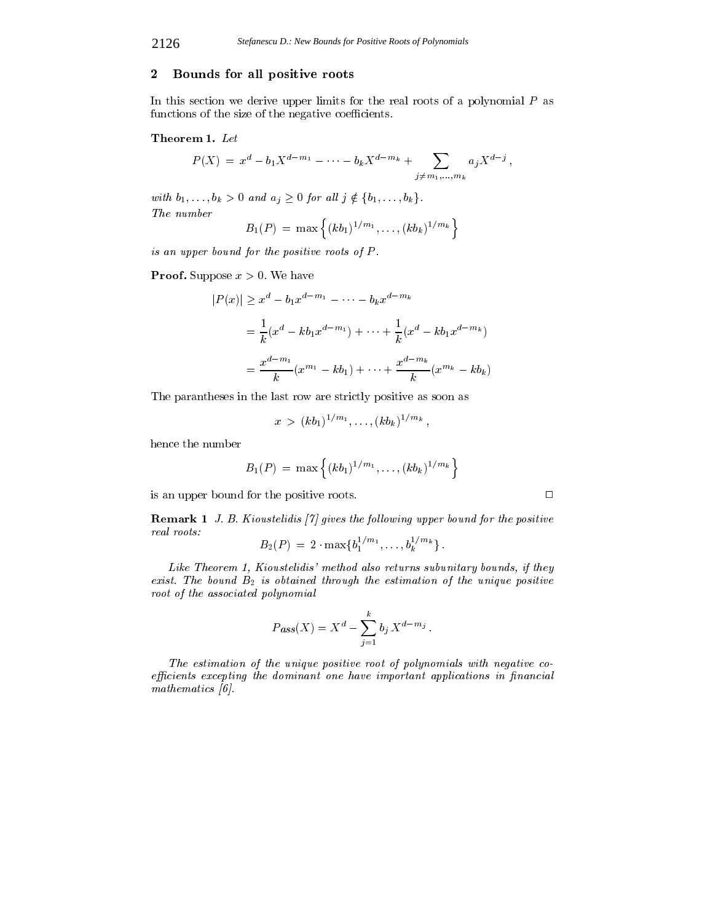#### $\boldsymbol{2}$ Bounds for all positive roots

In this section we derive upper limits for the real roots of a polynomial  $P$  as functions of the size of the negative coefficients.

### Theorem 1. Let

$$
P(X) = x^{d} - b_{1}X^{d-m_{1}} - \cdots - b_{k}X^{d-m_{k}} + \sum_{j \neq m_{1},...,m_{k}} a_{j}X^{d-j},
$$

with  $b_1, \ldots, b_k > 0$  and  $a_j \geq 0$  for all  $j \notin \{b_1, \ldots, b_k\}.$ The number

$$
B_1(P) = \max \left\{ (kb_1)^{1/m_1}, \ldots, (kb_k)^{1/m_k} \right\}
$$

is an upper bound for the positive roots of  $P$ .

**Proof.** Suppose  $x > 0$ . We have

$$
|P(x)| \ge x^d - b_1 x^{d - m_1} - \dots - b_k x^{d - m_k}
$$
  
=  $\frac{1}{k} (x^d - kb_1 x^{d - m_1}) + \dots + \frac{1}{k} (x^d - kb_1 x^{d - m_k})$   
=  $\frac{x^{d - m_1}}{k} (x^{m_1} - kb_1) + \dots + \frac{x^{d - m_k}}{k} (x^{m_k} - kb_k)$ 

The parantheses in the last row are strictly positive as soon as

$$
x > (kb_1)^{1/m_1}, \ldots, (kb_k)^{1/m_k},
$$

hence the number

$$
B_1(P) = \max \left\{ (kb_1)^{1/m_1}, \ldots, (kb_k)^{1/m_k} \right\}
$$

is an upper bound for the positive roots.

**Remark 1** J. B. Kioustelidis [7] gives the following upper bound for the positive real roots:  $\mathbf{r}$ 

$$
B_2(P) = 2 \cdot \max\{b_1^{1/m_1}, \ldots, b_k^{1/m_k}\}
$$

Like Theorem 1, Kioustelidis' method also returns subunitary bounds, if they exist. The bound  $B_2$  is obtained through the estimation of the unique positive root of the associated polynomial

$$
P_{ass}(X) = X^d - \sum_{j=1}^{k} b_j X^{d-m_j}
$$

The estimation of the unique positive root of polynomials with negative coefficients excepting the dominant one have important applications in financial mathematics  $\vert 6 \vert$ .

 $\Box$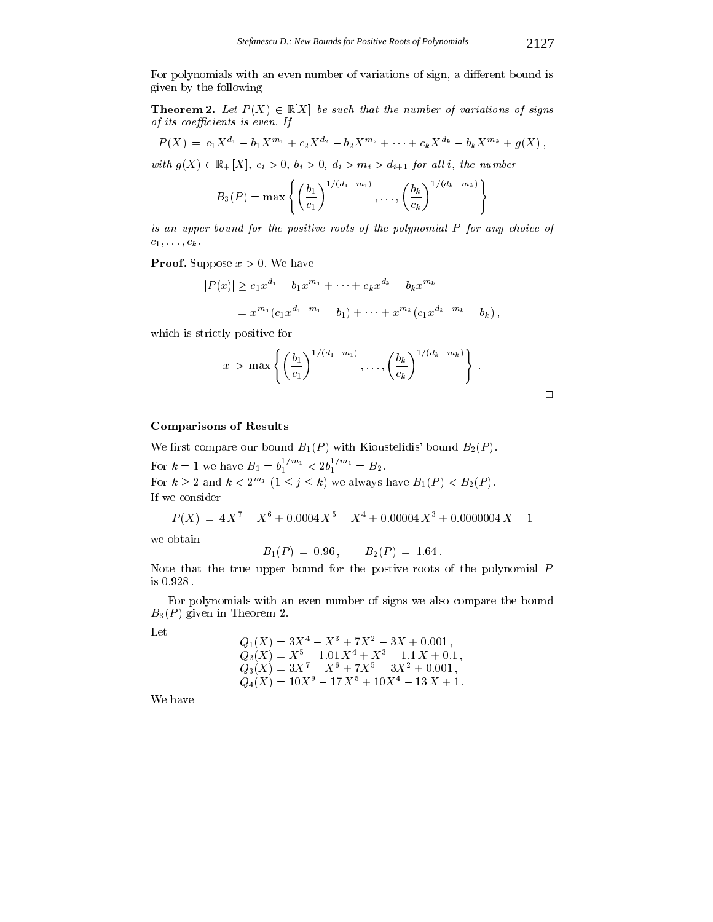For polynomials with an even number of variations of sign, a different bound is given by the following

**Theorem 2.** Let  $P(X) \in \mathbb{R}[X]$  be such that the number of variations of signs of its coefficients is even. If

$$
P(X) = c_1 X^{d_1} - b_1 X^{m_1} + c_2 X^{d_2} - b_2 X^{m_2} + \cdots + c_k X^{d_k} - b_k X^{m_k} + g(X),
$$

with  $g(X) \in \mathbb{R}_+[X]$ ,  $c_i > 0$ ,  $b_i > 0$ ,  $d_i > m_i > d_{i+1}$  for all i, the number

$$
B_3(P) = \max \left\{ \left( \frac{b_1}{c_1} \right)^{1/(d_1 - m_1)}, \dots, \left( \frac{b_k}{c_k} \right)^{1/(d_k - m_k)} \right\}
$$

is an upper bound for the positive roots of the polynomial P for any choice of  $c_1, \ldots, c_k$ .

**Proof.** Suppose  $x > 0$ . We have

$$
|P(x)| \ge c_1 x^{d_1} - b_1 x^{m_1} + \dots + c_k x^{d_k} - b_k x^{m_k}
$$
  
=  $x^{m_1} (c_1 x^{d_1 - m_1} - b_1) + \dots + x^{m_k} (c_1 x^{d_k - m_k} - b_k),$ 

which is strictly positive for

$$
x > \max \left\{ \left( \frac{b_1}{c_1} \right)^{1/(d_1-m_1)}, \ldots, \left( \frac{b_k}{c_k} \right)^{1/(d_k-m_k)} \right\}.
$$

### **Comparisons of Results**

We first compare our bound  $B_1(P)$  with Kioustelidis' bound  $B_2(P)$ .

For  $k = 1$  we have  $B_1 = b_1^{1/m_1} < 2b_1^{1/m_1} = B_2$ . For  $k \geq 2$  and  $k < 2^{m_j}$   $(1 \leq j \leq k)$  we always have  $B_1(P) < B_2(P)$ . If we consider

$$
P(X) = 4X^7 - X^6 + 0.0004X^5 - X^4 + 0.00004X^3 + 0.0000004X - 1
$$

we obtain

$$
B_1(P) = 0.96
$$
,  $B_2(P) = 1.64$ .

Note that the true upper bound for the postive roots of the polynomial  $P$ is 0.928.

For polynomials with an even number of signs we also compare the bound  $B_3(P)$  given in Theorem 2.

Let

$$
Q_1(X) = 3X^4 - X^3 + 7X^2 - 3X + 0.001,
$$
  
\n
$$
Q_2(X) = X^5 - 1.01X^4 + X^3 - 1.1X + 0.1,
$$
  
\n
$$
Q_3(X) = 3X^7 - X^6 + 7X^5 - 3X^2 + 0.001,
$$
  
\n
$$
Q_4(X) = 10X^9 - 17X^5 + 10X^4 - 13X + 1.
$$

We have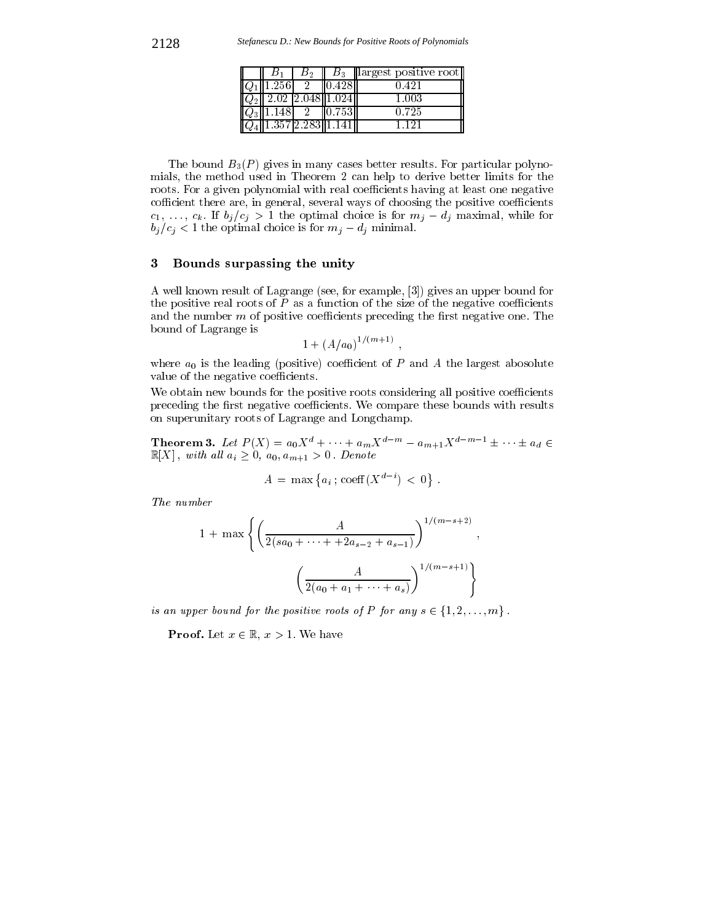|                                    | В٠ |                            | $B_3$   largest positive root |
|------------------------------------|----|----------------------------|-------------------------------|
| 21.256                             |    | 0.428                      | 0.421                         |
|                                    |    | $  Q_2  $ 2.02 2.048 1.024 | 1.003                         |
| $v_3$   1.148                      |    | 10.7531                    | 0.725                         |
| $\overline{Q_4}$ 1.357 2.283 1.141 |    |                            | 1 1 9 1                       |

The bound  $B_3(P)$  gives in many cases better results. For particular polynomials, the method used in Theorem 2 can help to derive better limits for the roots. For a given polynomial with real coefficients having at least one negative cofficient there are, in general, several ways of choosing the positive coefficients  $c_1, \ldots, c_k$ . If  $b_j/c_j > 1$  the optimal choice is for  $m_j - d_j$  maximal, while for  $b_j/c_j < 1$  the optimal choice is for  $m_j - d_j$  minimal.

### Bounds surpassing the unity  $\bf{3}$

A well known result of Lagrange (see, for example, [3]) gives an upper bound for the positive real roots of  $P$  as a function of the size of the negative coefficients and the number  $m$  of positive coefficients preceding the first negative one. The bound of Lagrange is

$$
1+(A/a_0)^{1/(m+1)},
$$

where  $a_0$  is the leading (positive) coefficient of  $P$  and  $A$  the largest abosolute value of the negative coefficients.

We obtain new bounds for the positive roots considering all positive coefficients preceding the first negative coefficients. We compare these bounds with results on superunitary roots of Lagrange and Longchamp.

**Theorem 3.** Let  $P(X) = a_0 X^d + \cdots + a_m X^{d-m} - a_{m+1} X^{d-m-1} \pm \cdots \pm a_d \in \mathbb{R}$  $\mathbb{R}[X]$ , with all  $a_i \geq 0$ ,  $a_0, a_{m+1} > 0$ . Denote

$$
A = \max \{ a_i \, ; \, \text{coeff}(X^{d-i}) < 0 \} \, .
$$

The number

$$
1 + \max \left\{ \left( \frac{A}{2(sa_0 + \dots + a_{s-2} + a_{s-1})} \right)^{1/(m-s+2)}, \right\}
$$

$$
\left( \frac{A}{2(a_0 + a_1 + \dots + a_s)} \right)^{1/(m-s+1)} \right\}
$$

is an upper bound for the positive roots of P for any  $s \in \{1,2,\ldots,m\}$ .

**Proof.** Let  $x \in \mathbb{R}$ ,  $x > 1$ . We have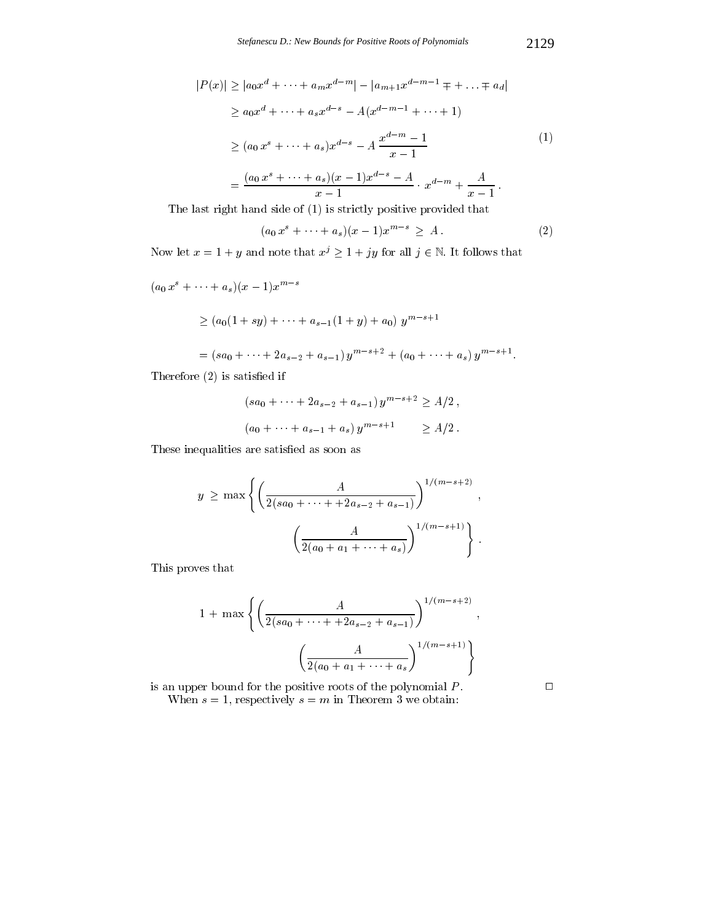$$
|P(x)| \ge |a_0 x^d + \dots + a_m x^{d-m}| - |a_{m+1} x^{d-m-1} \mp \dots \mp a_d|
$$
  
\n
$$
\ge a_0 x^d + \dots + a_s x^{d-s} - A(x^{d-m-1} + \dots + 1)
$$
  
\n
$$
\ge (a_0 x^s + \dots + a_s) x^{d-s} - A \frac{x^{d-m} - 1}{x - 1}
$$
  
\n
$$
= \frac{(a_0 x^s + \dots + a_s)(x - 1)x^{d-s} - A}{x - 1} \cdot x^{d-m} + \frac{A}{x - 1}.
$$
  
\n
$$
= \frac{[a_0 x^s + \dots + a_s)(x - 1)x^{d-s} - A}{x - 1} \cdot x^{d-m} + \frac{A}{x - 1}.
$$

The last right hand side of  $(1)$  is strictly positive provided that

$$
(a_0 x^s + \dots + a_s)(x - 1)x^{m - s} \geq A.
$$
 (2)

Now let  $x = 1 + y$  and note that  $x^j \ge 1 + jy$  for all  $j \in \mathbb{N}$ . It follows that

$$
(a_0 x^s + \cdots + a_s)(x-1)x^{m-s}
$$

$$
\geq (a_0(1+sy)+\cdots+a_{s-1}(1+y)+a_0)y^{m-s+1}
$$

=  $(sa_0 + \cdots + 2a_{s-2} + a_{s-1}) y^{m-s+2} + (a_0 + \cdots + a_s) y^{m-s+1}.$ 

Therefore  $(2)$  is satisfied if

$$
(sa_0 + \dots + 2a_{s-2} + a_{s-1}) y^{m-s+2} \ge A/2,
$$
  

$$
(a_0 + \dots + a_{s-1} + a_s) y^{m-s+1} \ge A/2.
$$

These inequalities are satisfied as soon as

$$
y \ge \max \left\{ \left( \frac{A}{2(sa_0 + \dots + 2a_{s-2} + a_{s-1})} \right)^{1/(m-s+2)}, \right\}
$$

$$
\left( \frac{A}{2(a_0 + a_1 + \dots + a_s)} \right)^{1/(m-s+1)} \right\}.
$$

This proves that

$$
1 + \max \left\{ \left( \frac{A}{2(sa_0 + \dots + 2a_{s-2} + a_{s-1})} \right)^{1/(m-s+2)} \right\}
$$

$$
\left( \frac{A}{2(a_0 + a_1 + \dots + a_s)} \right)^{1/(m-s+1)} \right\}
$$

is an upper bound for the positive roots of the polynomial  $P$ . When  $s = 1$ , respectively  $s = m$  in Theorem 3 we obtain:

 $\Box$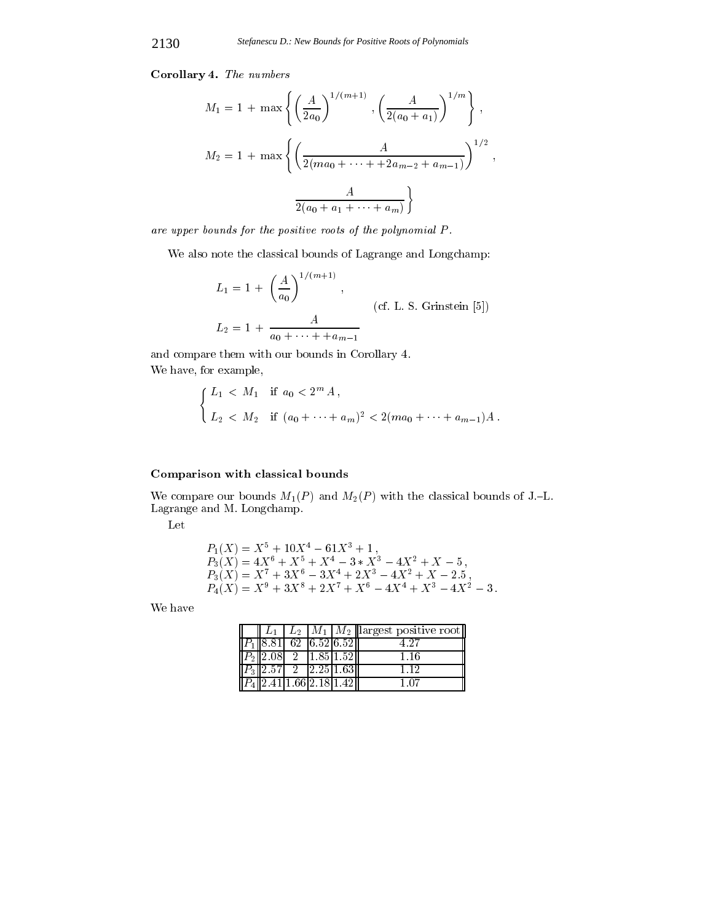Corollary 4. The numbers

$$
M_1 = 1 + \max \left\{ \left( \frac{A}{2a_0} \right)^{1/(m+1)}, \left( \frac{A}{2(a_0 + a_1)} \right)^{1/m} \right\},
$$
  

$$
M_2 = 1 + \max \left\{ \left( \frac{A}{2(ma_0 + \dots + 2a_{m-2} + a_{m-1})} \right)^{1/2},
$$
  

$$
\frac{A}{2(a_0 + a_1 + \dots + a_m)} \right\}
$$

are upper bounds for the positive roots of the polynomial P.

We also note the classical bounds of Lagrange and Longchamp:

$$
L_1 = 1 + \left(\frac{A}{a_0}\right)^{1/(m+1)},
$$
  
(cf. L. S. Grinstein [5])  

$$
L_2 = 1 + \frac{A}{a_0 + \dots + a_{m-1}}
$$

and compare them with our bounds in Corollary 4. We have, for example,

$$
\begin{cases} L_1 < M_1 \quad \text{if } a_0 < 2^m A, \\ L_2 < M_2 \quad \text{if } (a_0 + \dots + a_m)^2 < 2(ma_0 + \dots + a_{m-1})A. \end{cases}
$$

# Comparison with classical bounds

We compare our bounds  $M_1(P)$  and  $M_2(P)$  with the classical bounds of J.-L. Lagrange and M. Longchamp.

Let

$$
P_1(X) = X^5 + 10X^4 - 61X^3 + 1,
$$
  
\n
$$
P_3(X) = 4X^6 + X^5 + X^4 - 3 * X^3 - 4X^2 + X - 5,
$$
  
\n
$$
P_3(X) = X^7 + 3X^6 - 3X^4 + 2X^3 - 4X^2 + X - 2.5,
$$
  
\n
$$
P_4(X) = X^9 + 3X^8 + 2X^7 + X^6 - 4X^4 + X^3 - 4X^2 - 3.
$$

We have

|  |  |                                                               | $\parallel L_1 \parallel L_2 \parallel M_1 \parallel M_2 \parallel$ largest positive root |
|--|--|---------------------------------------------------------------|-------------------------------------------------------------------------------------------|
|  |  | $\overline{P_1 \  8.81}$ 62 6.52 6.52                         | 497                                                                                       |
|  |  | $  P_2  2.08  2  1.85 1.52  $                                 | 1.16                                                                                      |
|  |  | $\overline{P_3}\overline{2.57}$ 2 2.25 1.63                   | 112                                                                                       |
|  |  | $\overline{P_4\vert 2.41\vert 1.66\vert 2.18\vert 1.42\vert}$ | 1 07                                                                                      |